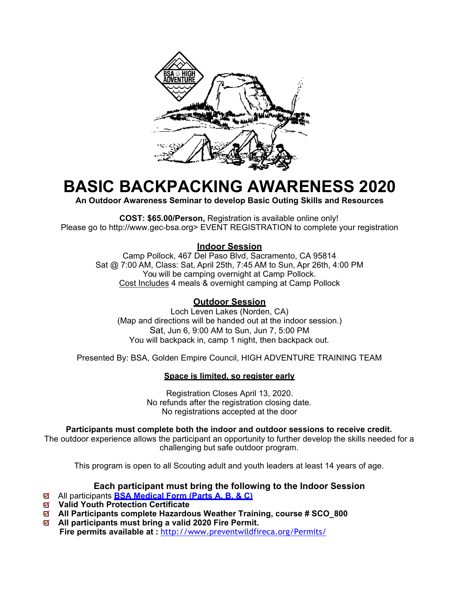

# **BASIC BACKPACKING AWARENESS 2020**

**An Outdoor Awareness Seminar to develop Basic Outing Skills and Resources** 

**COST: \$65.00/Person,** Registration is available online only! Please go to http://www.gec-bsa.org> EVENT REGISTRATION to complete your registration

#### **Indoor Session**

Camp Pollock, 467 Del Paso Blvd, Sacramento, CA 95814 Sat @ 7:00 AM, Class: Sat, April 25th, 7:45 AM to Sun, Apr 26th, 4:00 PM You will be camping overnight at Camp Pollock. Cost Includes 4 meals & overnight camping at Camp Pollock

### **Outdoor Session**

Loch Leven Lakes (Norden, CA) (Map and directions will be handed out at the indoor session.) Sat, Jun 6, 9:00 AM to Sun, Jun 7, 5:00 PM You will backpack in, camp 1 night, then backpack out.

Presented By: BSA, Golden Empire Council, HIGH ADVENTURE TRAINING TEAM

#### **Space is limited, so register early**

Registration Closes April 13, 2020. No refunds after the registration closing date. No registrations accepted at the door

#### **Participants must complete both the indoor and outdoor sessions to receive credit.**

The outdoor experience allows the participant an opportunity to further develop the skills needed for a challenging but safe outdoor program.

This program is open to all Scouting adult and youth leaders at least 14 years of age.

#### **Each participant must bring the following to the Indoor Session**

- All participants **BSA Medical Form (Parts A, B, & C)**
- **Valid Youth Protection Certificate**
- **All Participants complete Hazardous Weather Training, course # SCO\_800**
- **All participants must bring a valid 2020 Fire Permit. Fire permits available at :** http://www.preventwildfireca.org/Permits/